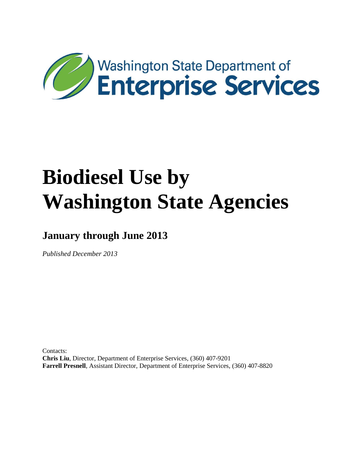

**January through June 2013**

*Published December 2013*

Contacts: **Chris Liu**, Director, Department of Enterprise Services, (360) 407-9201 **Farrell Presnell**, Assistant Director, Department of Enterprise Services, (360) 407-8820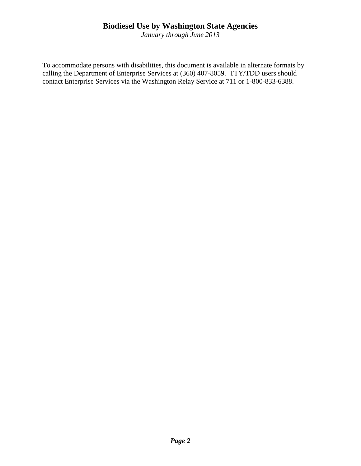*January through June 2013*

To accommodate persons with disabilities, this document is available in alternate formats by calling the Department of Enterprise Services at (360) 407-8059. TTY/TDD users should contact Enterprise Services via the Washington Relay Service at 711 or 1-800-833-6388.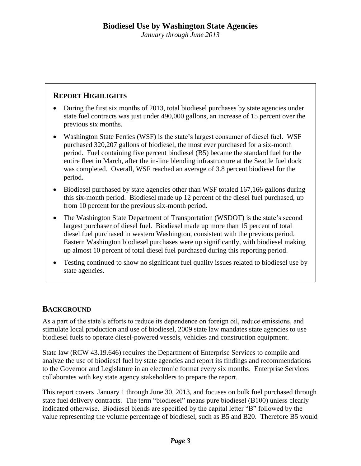### **REPORT HIGHLIGHTS**

- During the first six months of 2013, total biodiesel purchases by state agencies under state fuel contracts was just under 490,000 gallons, an increase of 15 percent over the previous six months.
- Washington State Ferries (WSF) is the state's largest consumer of diesel fuel. WSF purchased 320,207 gallons of biodiesel, the most ever purchased for a six-month period. Fuel containing five percent biodiesel (B5) became the standard fuel for the entire fleet in March, after the in-line blending infrastructure at the Seattle fuel dock was completed. Overall, WSF reached an average of 3.8 percent biodiesel for the period.
- Biodiesel purchased by state agencies other than WSF totaled 167,166 gallons during this six-month period. Biodiesel made up 12 percent of the diesel fuel purchased, up from 10 percent for the previous six-month period.
- The Washington State Department of Transportation (WSDOT) is the state's second largest purchaser of diesel fuel. Biodiesel made up more than 15 percent of total diesel fuel purchased in western Washington, consistent with the previous period. Eastern Washington biodiesel purchases were up significantly, with biodiesel making up almost 10 percent of total diesel fuel purchased during this reporting period.
- Testing continued to show no significant fuel quality issues related to biodiesel use by state agencies.

#### **BACKGROUND**

As a part of the state's efforts to reduce its dependence on foreign oil, reduce emissions, and stimulate local production and use of biodiesel, 2009 state law mandates state agencies to use biodiesel fuels to operate diesel-powered vessels, vehicles and construction equipment.

State law (RCW 43.19.646) requires the Department of Enterprise Services to compile and analyze the use of biodiesel fuel by state agencies and report its findings and recommendations to the Governor and Legislature in an electronic format every six months. Enterprise Services collaborates with key state agency stakeholders to prepare the report.

This report covers January 1 through June 30, 2013, and focuses on bulk fuel purchased through state fuel delivery contracts. The term "biodiesel" means pure biodiesel (B100) unless clearly indicated otherwise. Biodiesel blends are specified by the capital letter "B" followed by the value representing the volume percentage of biodiesel, such as B5 and B20. Therefore B5 would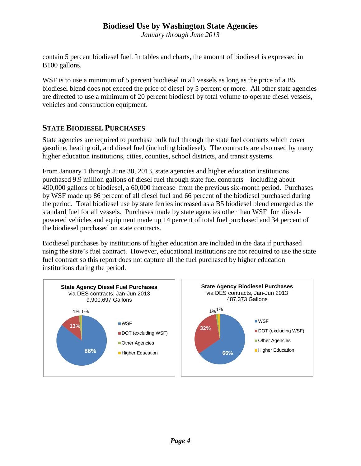*January through June 2013*

contain 5 percent biodiesel fuel. In tables and charts, the amount of biodiesel is expressed in B100 gallons.

WSF is to use a minimum of 5 percent biodiesel in all vessels as long as the price of a B5 biodiesel blend does not exceed the price of diesel by 5 percent or more. All other state agencies are directed to use a minimum of 20 percent biodiesel by total volume to operate diesel vessels, vehicles and construction equipment.

#### **STATE BIODIESEL PURCHASES**

State agencies are required to purchase bulk fuel through the state fuel contracts which cover gasoline, heating oil, and diesel fuel (including biodiesel). The contracts are also used by many higher education institutions, cities, counties, school districts, and transit systems.

From January 1 through June 30, 2013, state agencies and higher education institutions purchased 9.9 million gallons of diesel fuel through state fuel contracts – including about 490,000 gallons of biodiesel, a 60,000 increase from the previous six-month period. Purchases by WSF made up 86 percent of all diesel fuel and 66 percent of the biodiesel purchased during the period. Total biodiesel use by state ferries increased as a B5 biodiesel blend emerged as the standard fuel for all vessels. Purchases made by state agencies other than WSF for dieselpowered vehicles and equipment made up 14 percent of total fuel purchased and 34 percent of the biodiesel purchased on state contracts.

Biodiesel purchases by institutions of higher education are included in the data if purchased using the state's fuel contract. However, educational institutions are not required to use the state fuel contract so this report does not capture all the fuel purchased by higher education institutions during the period.

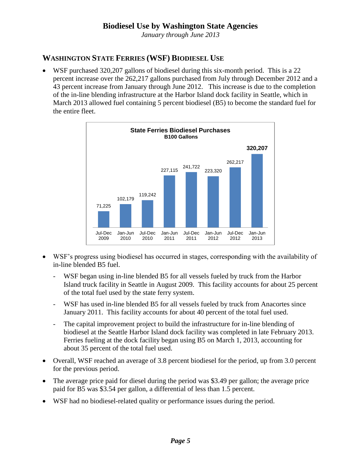*January through June 2013*

# **WASHINGTON STATE FERRIES (WSF) BIODIESEL USE**

 WSF purchased 320,207 gallons of biodiesel during this six-month period. This is a 22 percent increase over the 262,217 gallons purchased from July through December 2012 and a 43 percent increase from January through June 2012. This increase is due to the completion of the in-line blending infrastructure at the Harbor Island dock facility in Seattle, which in March 2013 allowed fuel containing 5 percent biodiesel (B5) to become the standard fuel for the entire fleet.



- WSF's progress using biodiesel has occurred in stages, corresponding with the availability of in-line blended B5 fuel.
	- WSF began using in-line blended B5 for all vessels fueled by truck from the Harbor Island truck facility in Seattle in August 2009. This facility accounts for about 25 percent of the total fuel used by the state ferry system.
	- WSF has used in-line blended B5 for all vessels fueled by truck from Anacortes since January 2011. This facility accounts for about 40 percent of the total fuel used.
	- The capital improvement project to build the infrastructure for in-line blending of biodiesel at the Seattle Harbor Island dock facility was completed in late February 2013. Ferries fueling at the dock facility began using B5 on March 1, 2013, accounting for about 35 percent of the total fuel used.
- Overall, WSF reached an average of 3.8 percent biodiesel for the period, up from 3.0 percent for the previous period.
- The average price paid for diesel during the period was \$3.49 per gallon; the average price paid for B5 was \$3.54 per gallon, a differential of less than 1.5 percent.
- WSF had no biodiesel-related quality or performance issues during the period.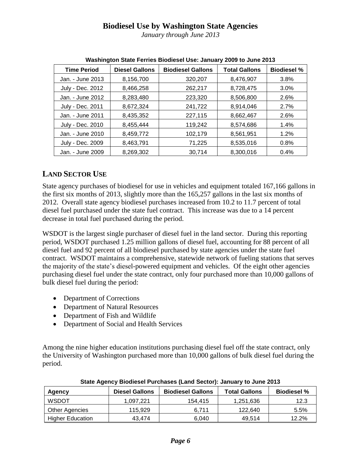*January through June 2013*

| <b>Time Period</b> | <b>Diesel Gallons</b> | <b>Biodiesel Gallons</b> | <b>Total Gallons</b> | <b>Biodiesel %</b> |
|--------------------|-----------------------|--------------------------|----------------------|--------------------|
| Jan. - June 2013   | 8,156,700             | 320,207                  | 8,476,907            | 3.8%               |
| July - Dec. 2012   | 8,466,258             | 262,217                  | 8,728,475            | 3.0%               |
| Jan. - June 2012   | 8,283,480             | 223,320                  | 8,506,800            | 2.6%               |
| July - Dec. 2011   | 8,672,324             | 241,722                  | 8,914,046            | 2.7%               |
| Jan. - June 2011   | 8,435,352             | 227,115                  | 8,662,467            | 2.6%               |
| July - Dec. 2010   | 8,455,444             | 119,242                  | 8,574,686            | 1.4%               |
| Jan. - June 2010   | 8,459,772             | 102,179                  | 8,561,951            | 1.2%               |
| July - Dec. 2009   | 8,463,791             | 71,225                   | 8,535,016            | 0.8%               |
| Jan. - June 2009   | 8,269,302             | 30,714                   | 8.300.016            | 0.4%               |

| Washington State Ferries Biodiesel Use: January 2009 to June 2013 |  |  |
|-------------------------------------------------------------------|--|--|
|                                                                   |  |  |

# **LAND SECTOR USE**

State agency purchases of biodiesel for use in vehicles and equipment totaled 167,166 gallons in the first six months of 2013, slightly more than the 165,257 gallons in the last six months of 2012. Overall state agency biodiesel purchases increased from 10.2 to 11.7 percent of total diesel fuel purchased under the state fuel contract. This increase was due to a 14 percent decrease in total fuel purchased during the period.

WSDOT is the largest single purchaser of diesel fuel in the land sector. During this reporting period, WSDOT purchased 1.25 million gallons of diesel fuel, accounting for 88 percent of all diesel fuel and 92 percent of all biodiesel purchased by state agencies under the state fuel contract. WSDOT maintains a comprehensive, statewide network of fueling stations that serves the majority of the state's diesel-powered equipment and vehicles. Of the eight other agencies purchasing diesel fuel under the state contract, only four purchased more than 10,000 gallons of bulk diesel fuel during the period:

- Department of Corrections
- Department of Natural Resources
- Department of Fish and Wildlife
- Department of Social and Health Services

Among the nine higher education institutions purchasing diesel fuel off the state contract, only the University of Washington purchased more than 10,000 gallons of bulk diesel fuel during the period.

| Agency                  | <b>Diesel Gallons</b> | <b>Biodiesel Gallons</b> | <b>Total Gallons</b> | <b>Biodiesel %</b> |  |  |
|-------------------------|-----------------------|--------------------------|----------------------|--------------------|--|--|
| <b>WSDOT</b>            | 1.097.221             | 154.415                  | 1,251,636            | 12.3               |  |  |
| Other Agencies          | 115.929               | 6.711                    | 122.640              | 5.5%               |  |  |
| <b>Higher Education</b> | 43.474                | 6.040                    | 49.514               | 12.2%              |  |  |

**State Agency Biodiesel Purchases (Land Sector): January to June 2013**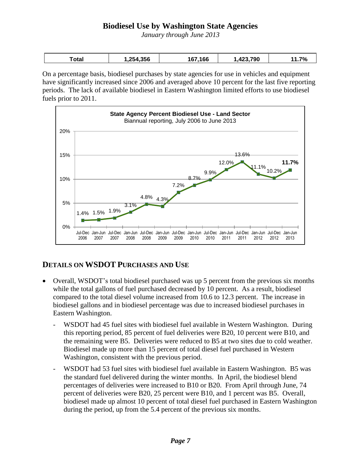*January through June 2013*

| ักtal<br><u>stur</u><br>. | .356<br>.25<br>מ | 67.166<br>1 h | ,790<br>-425 | 70 |
|---------------------------|------------------|---------------|--------------|----|

On a percentage basis, biodiesel purchases by state agencies for use in vehicles and equipment have significantly increased since 2006 and averaged above 10 percent for the last five reporting periods. The lack of available biodiesel in Eastern Washington limited efforts to use biodiesel fuels prior to 2011.



#### **DETAILS ON WSDOT PURCHASES AND USE**

- Overall, WSDOT's total biodiesel purchased was up 5 percent from the previous six months while the total gallons of fuel purchased decreased by 10 percent. As a result, biodiesel compared to the total diesel volume increased from 10.6 to 12.3 percent. The increase in biodiesel gallons and in biodiesel percentage was due to increased biodiesel purchases in Eastern Washington.
	- WSDOT had 45 fuel sites with biodiesel fuel available in Western Washington. During this reporting period, 85 percent of fuel deliveries were B20, 10 percent were B10, and the remaining were B5. Deliveries were reduced to B5 at two sites due to cold weather. Biodiesel made up more than 15 percent of total diesel fuel purchased in Western Washington, consistent with the previous period.
	- WSDOT had 53 fuel sites with biodiesel fuel available in Eastern Washington. B5 was the standard fuel delivered during the winter months. In April, the biodiesel blend percentages of deliveries were increased to B10 or B20. From April through June, 74 percent of deliveries were B20, 25 percent were B10, and 1 percent was B5. Overall, biodiesel made up almost 10 percent of total diesel fuel purchased in Eastern Washington during the period, up from the 5.4 percent of the previous six months.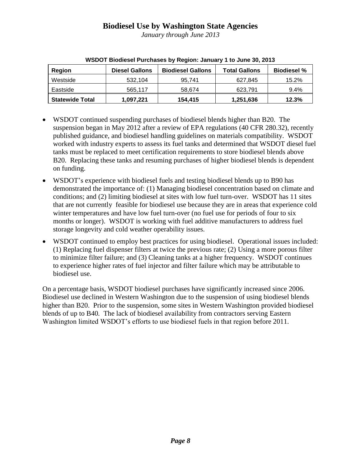*January through June 2013*

| <b>Region</b>          | <b>Diesel Gallons</b> | <b>Biodiesel Gallons</b> | <b>Total Gallons</b> | <b>Biodiesel %</b> |
|------------------------|-----------------------|--------------------------|----------------------|--------------------|
| Westside               | 532.104               | 95.741                   | 627,845              | 15.2%              |
| Eastside               | 565.117               | 58.674                   | 623.791              | 9.4%               |
| <b>Statewide Total</b> | 1,097,221             | 154.415                  | 1,251,636            | 12.3%              |

| WSDOT Biodiesel Purchases by Region: January 1 to June 30, 2013 |  |  |  |
|-----------------------------------------------------------------|--|--|--|

- WSDOT continued suspending purchases of biodiesel blends higher than B20. The suspension began in May 2012 after a review of EPA regulations (40 CFR 280.32), recently published guidance, and biodiesel handling guidelines on materials compatibility. WSDOT worked with industry experts to assess its fuel tanks and determined that WSDOT diesel fuel tanks must be replaced to meet certification requirements to store biodiesel blends above B20. Replacing these tanks and resuming purchases of higher biodiesel blends is dependent on funding.
- WSDOT's experience with biodiesel fuels and testing biodiesel blends up to B90 has demonstrated the importance of: (1) Managing biodiesel concentration based on climate and conditions; and (2) limiting biodiesel at sites with low fuel turn-over. WSDOT has 11 sites that are not currently feasible for biodiesel use because they are in areas that experience cold winter temperatures and have low fuel turn-over (no fuel use for periods of four to six months or longer). WSDOT is working with fuel additive manufacturers to address fuel storage longevity and cold weather operability issues.
- WSDOT continued to employ best practices for using biodiesel. Operational issues included: (1) Replacing fuel dispenser filters at twice the previous rate; (2) Using a more porous filter to minimize filter failure; and (3) Cleaning tanks at a higher frequency. WSDOT continues to experience higher rates of fuel injector and filter failure which may be attributable to biodiesel use.

On a percentage basis, WSDOT biodiesel purchases have significantly increased since 2006. Biodiesel use declined in Western Washington due to the suspension of using biodiesel blends higher than B20. Prior to the suspension, some sites in Western Washington provided biodiesel blends of up to B40*.* The lack of biodiesel availability from contractors serving Eastern Washington limited WSDOT's efforts to use biodiesel fuels in that region before 2011.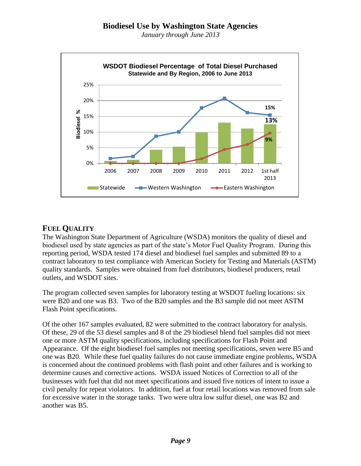*January through June 2013*



#### **FUEL QUALITY**

The Washington State Department of Agriculture (WSDA) monitors the quality of diesel and biodiesel used by state agencies as part of the state's Motor Fuel Quality Program. During this reporting period, WSDA tested 174 diesel and biodiesel fuel samples and submitted 89 to a contract laboratory to test compliance with American Society for Testing and Materials (ASTM) quality standards. Samples were obtained from fuel distributors, biodiesel producers, retail outlets, and WSDOT sites.

The program collected seven samples for laboratory testing at WSDOT fueling locations: six were B20 and one was B3. Two of the B20 samples and the B3 sample did not meet ASTM Flash Point specifications.

Of the other 167 samples evaluated, 82 were submitted to the contract laboratory for analysis. Of these, 29 of the 53 diesel samples and 8 of the 29 biodiesel blend fuel samples did not meet one or more ASTM quality specifications, including specifications for Flash Point and Appearance. Of the eight biodiesel fuel samples not meeting specifications, seven were B5 and one was B20. While these fuel quality failures do not cause immediate engine problems, WSDA is concerned about the continued problems with flash point and other failures and is working to determine causes and corrective actions. WSDA issued Notices of Correction to all of the businesses with fuel that did not meet specifications and issued five notices of intent to issue a civil penalty for repeat violators. In addition, fuel at four retail locations was removed from sale for excessive water in the storage tanks. Two were ultra low sulfur diesel, one was B2 and another was B5.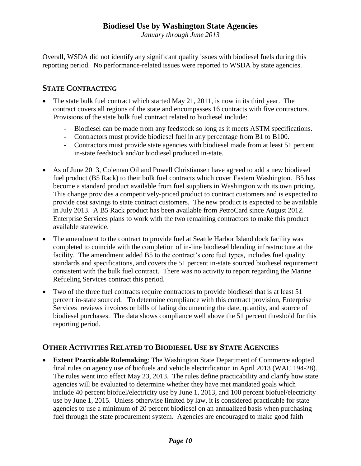*January through June 2013*

Overall, WSDA did not identify any significant quality issues with biodiesel fuels during this reporting period. No performance-related issues were reported to WSDA by state agencies.

#### **STATE CONTRACTING**

- The state bulk fuel contract which started May 21, 2011, is now in its third year. The contract covers all regions of the state and encompasses 16 contracts with five contractors. Provisions of the state bulk fuel contract related to biodiesel include:
	- Biodiesel can be made from any feedstock so long as it meets ASTM specifications.
	- Contractors must provide biodiesel fuel in any percentage from B1 to B100.
	- Contractors must provide state agencies with biodiesel made from at least 51 percent in-state feedstock and/or biodiesel produced in-state.
- As of June 2013, Coleman Oil and Powell Christiansen have agreed to add a new biodiesel fuel product (B5 Rack) to their bulk fuel contracts which cover Eastern Washington. B5 has become a standard product available from fuel suppliers in Washington with its own pricing. This change provides a competitively-priced product to contract customers and is expected to provide cost savings to state contract customers. The new product is expected to be available in July 2013. A B5 Rack product has been available from PetroCard since August 2012. Enterprise Services plans to work with the two remaining contractors to make this product available statewide.
- The amendment to the contract to provide fuel at Seattle Harbor Island dock facility was completed to coincide with the completion of in-line biodiesel blending infrastructure at the facility. The amendment added B5 to the contract's core fuel types, includes fuel quality standards and specifications, and covers the 51 percent in-state sourced biodiesel requirement consistent with the bulk fuel contract. There was no activity to report regarding the Marine Refueling Services contract this period.
- Two of the three fuel contracts require contractors to provide biodiesel that is at least 51 percent in-state sourced. To determine compliance with this contract provision, Enterprise Services reviews invoices or bills of lading documenting the date, quantity, and source of biodiesel purchases. The data shows compliance well above the 51 percent threshold for this reporting period.

#### **OTHER ACTIVITIES RELATED TO BIODIESEL USE BY STATE AGENCIES**

 **Extent Practicable Rulemaking**: The Washington State Department of Commerce adopted final rules on agency use of biofuels and vehicle electrification in April 2013 (WAC 194-28). The rules went into effect May 23, 2013. The rules define practicability and clarify how state agencies will be evaluated to determine whether they have met mandated goals which include 40 percent biofuel/electricity use by June 1, 2013, and 100 percent biofuel/electricity use by June 1, 2015. Unless otherwise limited by law, it is considered practicable for state agencies to use a minimum of 20 percent biodiesel on an annualized basis when purchasing fuel through the state procurement system. Agencies are encouraged to make good faith